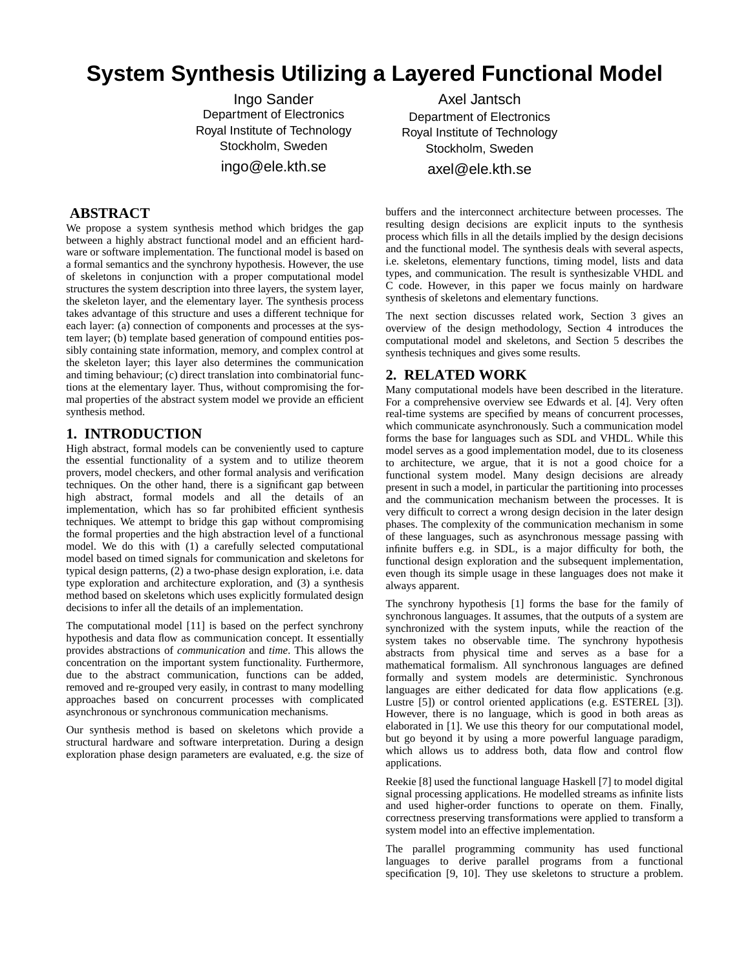# **System Synthesis Utilizing a Layered Functional Model**

Ingo Sander Department of Electronics Royal Institute of Technology Stockholm, Sweden ingo@ele.kth.se

# **ABSTRACT**

We propose a system synthesis method which bridges the gap between a highly abstract functional model and an efficient hardware or software implementation. The functional model is based on a formal semantics and the synchrony hypothesis. However, the use of skeletons in conjunction with a proper computational model structures the system description into three layers, the system layer, the skeleton layer, and the elementary layer. The synthesis process takes advantage of this structure and uses a different technique for each layer: (a) connection of components and processes at the system layer; (b) template based generation of compound entities possibly containing state information, memory, and complex control at the skeleton layer; this layer also determines the communication and timing behaviour; (c) direct translation into combinatorial functions at the elementary layer. Thus, without compromising the formal properties of the abstract system model we provide an efficient synthesis method.

# **1. INTRODUCTION**

High abstract, formal models can be conveniently used to capture the essential functionality of a system and to utilize theorem provers, model checkers, and other formal analysis and verification techniques. On the other hand, there is a significant gap between high abstract, formal models and all the details of an implementation, which has so far prohibited efficient synthesis techniques. We attempt to bridge this gap without compromising the formal properties and the high abstraction level of a functional model. We do this with (1) a carefully selected computational model based on timed signals for communication and skeletons for typical design patterns, (2) a two-phase design exploration, i.e. data type exploration and architecture exploration, and (3) a synthesis method based on skeletons which uses explicitly formulated design decisions to infer all the details of an implementation.

The computational model [11] is based on the perfect synchrony hypothesis and data flow as communication concept. It essentially provides abstractions of *communication* and *time*. This allows the concentration on the important system functionality. Furthermore, due to the abstract communication, functions can be added, removed and re-grouped very easily, in contrast to many modelling approaches based on concurrent processes with complicated asynchronous or synchronous communication mechanisms.

Our synthesis method is based on skeletons which provide a structural hardware and software interpretation. During a design exploration phase design parameters are evaluated, e.g. the size of

Axel Jantsch Department of Electronics Royal Institute of Technology Stockholm, Sweden axel@ele.kth.se

buffers and the interconnect architecture between processes. The resulting design decisions are explicit inputs to the synthesis process which fills in all the details implied by the design decisions and the functional model. The synthesis deals with several aspects, i.e. skeletons, elementary functions, timing model, lists and data types, and communication. The result is synthesizable VHDL and C code. However, in this paper we focus mainly on hardware synthesis of skeletons and elementary functions.

The next section discusses related work, Section 3 gives an overview of the design methodology, Section 4 introduces the computational model and skeletons, and Section 5 describes the synthesis techniques and gives some results.

# **2. RELATED WORK**

Many computational models have been described in the literature. For a comprehensive overview see Edwards et al. [4]. Very often real-time systems are specified by means of concurrent processes, which communicate asynchronously. Such a communication model forms the base for languages such as SDL and VHDL. While this model serves as a good implementation model, due to its closeness to architecture, we argue, that it is not a good choice for a functional system model. Many design decisions are already present in such a model, in particular the partitioning into processes and the communication mechanism between the processes. It is very difficult to correct a wrong design decision in the later design phases. The complexity of the communication mechanism in some of these languages, such as asynchronous message passing with infinite buffers e.g. in SDL, is a major difficulty for both, the functional design exploration and the subsequent implementation, even though its simple usage in these languages does not make it always apparent.

The synchrony hypothesis [1] forms the base for the family of synchronous languages. It assumes, that the outputs of a system are synchronized with the system inputs, while the reaction of the system takes no observable time. The synchrony hypothesis abstracts from physical time and serves as a base for a mathematical formalism. All synchronous languages are defined formally and system models are deterministic. Synchronous languages are either dedicated for data flow applications (e.g. Lustre [5]) or control oriented applications (e.g. ESTEREL [3]). However, there is no language, which is good in both areas as elaborated in [1]. We use this theory for our computational model, but go beyond it by using a more powerful language paradigm, which allows us to address both, data flow and control flow applications.

Reekie [8] used the functional language Haskell [7] to model digital signal processing applications. He modelled streams as infinite lists and used higher-order functions to operate on them. Finally, correctness preserving transformations were applied to transform a system model into an effective implementation.

The parallel programming community has used functional languages to derive parallel programs from a functional specification [9, 10]. They use skeletons to structure a problem.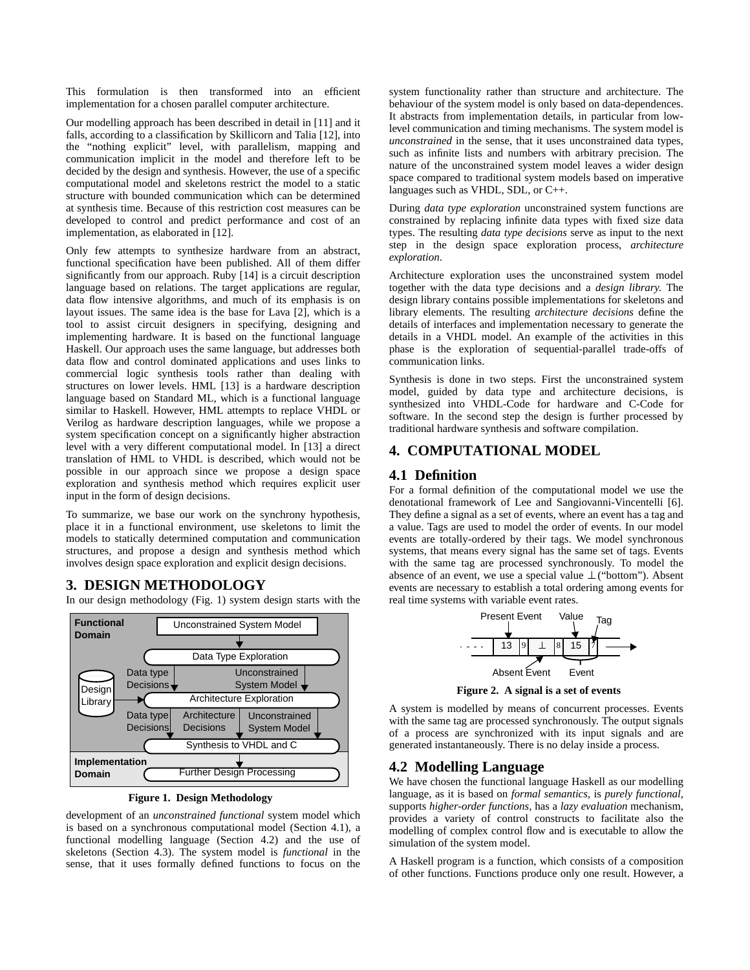This formulation is then transformed into an efficient implementation for a chosen parallel computer architecture.

Our modelling approach has been described in detail in [11] and it falls, according to a classification by Skillicorn and Talia [12], into the "nothing explicit" level, with parallelism, mapping and communication implicit in the model and therefore left to be decided by the design and synthesis. However, the use of a specific computational model and skeletons restrict the model to a static structure with bounded communication which can be determined at synthesis time. Because of this restriction cost measures can be developed to control and predict performance and cost of an implementation, as elaborated in [12].

Only few attempts to synthesize hardware from an abstract, functional specification have been published. All of them differ significantly from our approach. Ruby [14] is a circuit description language based on relations. The target applications are regular, data flow intensive algorithms, and much of its emphasis is on layout issues. The same idea is the base for Lava [2], which is a tool to assist circuit designers in specifying, designing and implementing hardware. It is based on the functional language Haskell. Our approach uses the same language, but addresses both data flow and control dominated applications and uses links to commercial logic synthesis tools rather than dealing with structures on lower levels. HML [13] is a hardware description language based on Standard ML, which is a functional language similar to Haskell. However, HML attempts to replace VHDL or Verilog as hardware description languages, while we propose a system specification concept on a significantly higher abstraction level with a very different computational model. In [13] a direct translation of HML to VHDL is described, which would not be possible in our approach since we propose a design space exploration and synthesis method which requires explicit user input in the form of design decisions.

To summarize, we base our work on the synchrony hypothesis, place it in a functional environment, use skeletons to limit the models to statically determined computation and communication structures, and propose a design and synthesis method which involves design space exploration and explicit design decisions.

#### **3. DESIGN METHODOLOGY**

In our design methodology (Fig. 1) system design starts with the



**Figure 1. Design Methodology**

development of an *unconstrained functional* system model which is based on a synchronous computational model (Section 4.1), a functional modelling language (Section 4.2) and the use of skeletons (Section 4.3). The system model is *functional* in the sense, that it uses formally defined functions to focus on the

system functionality rather than structure and architecture. The behaviour of the system model is only based on data-dependences. It abstracts from implementation details, in particular from lowlevel communication and timing mechanisms. The system model is *unconstrained* in the sense, that it uses unconstrained data types, such as infinite lists and numbers with arbitrary precision. The nature of the unconstrained system model leaves a wider design space compared to traditional system models based on imperative languages such as VHDL, SDL, or C++.

During *data type exploration* unconstrained system functions are constrained by replacing infinite data types with fixed size data types. The resulting *data type decisions* serve as input to the next step in the design space exploration process, *architecture exploration*.

Architecture exploration uses the unconstrained system model together with the data type decisions and a *design library*. The design library contains possible implementations for skeletons and library elements. The resulting *architecture decisions* define the details of interfaces and implementation necessary to generate the details in a VHDL model. An example of the activities in this phase is the exploration of sequential-parallel trade-offs of communication links.

Synthesis is done in two steps. First the unconstrained system model, guided by data type and architecture decisions, is synthesized into VHDL-Code for hardware and C-Code for software. In the second step the design is further processed by traditional hardware synthesis and software compilation.

# **4. COMPUTATIONAL MODEL**

# **4.1 Definition**

For a formal definition of the computational model we use the denotational framework of Lee and Sangiovanni-Vincentelli [6]. They define a signal as a set of events, where an event has a tag and a value. Tags are used to model the order of events. In our model events are totally-ordered by their tags. We model synchronous systems, that means every signal has the same set of tags. Events with the same tag are processed synchronously. To model the absence of an event, we use a special value  $\perp$  ("bottom"). Absent events are necessary to establish a total ordering among events for real time systems with variable event rates.



**Figure 2. A signal is a set of events**

A system is modelled by means of concurrent processes. Events with the same tag are processed synchronously. The output signals of a process are synchronized with its input signals and are generated instantaneously. There is no delay inside a process.

# **4.2 Modelling Language**

We have chosen the functional language Haskell as our modelling language, as it is based on *formal semantics,* is *purely functional,* supports *higher-order functions,* has a *lazy evaluation* mechanism, provides a variety of control constructs to facilitate also the modelling of complex control flow and is executable to allow the simulation of the system model.

A Haskell program is a function, which consists of a composition of other functions. Functions produce only one result. However, a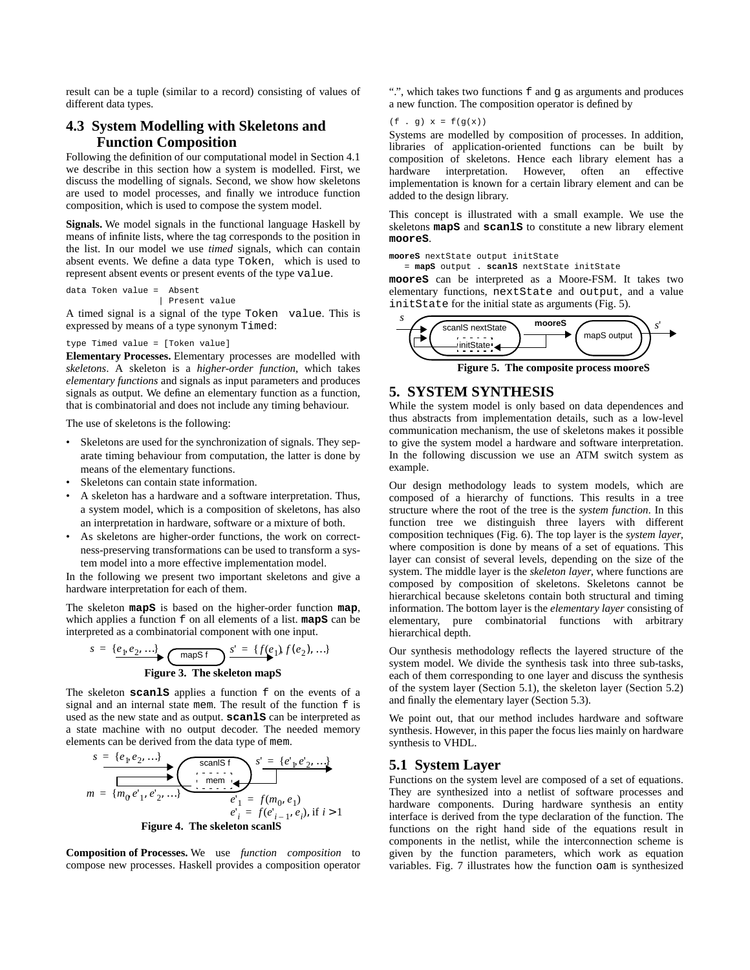result can be a tuple (similar to a record) consisting of values of different data types.

# **4.3 System Modelling with Skeletons and Function Composition**

Following the definition of our computational model in Section 4.1 we describe in this section how a system is modelled. First, we discuss the modelling of signals. Second, we show how skeletons are used to model processes, and finally we introduce function composition, which is used to compose the system model.

**Signals.** We model signals in the functional language Haskell by means of infinite lists, where the tag corresponds to the position in the list. In our model we use *timed* signals, which can contain absent events. We define a data type Token, which is used to represent absent events or present events of the type value.

data Token value = Absent | Present value

A timed signal is a signal of the type Token value. This is expressed by means of a type synonym Timed:

type Timed value = [Token value]

**Elementary Processes.** Elementary processes are modelled with *skeletons*. A skeleton is a *higher-order function*, which takes *elementary functions* and signals as input parameters and produces signals as output. We define an elementary function as a function, that is combinatorial and does not include any timing behaviour.

The use of skeletons is the following:

- Skeletons are used for the synchronization of signals. They separate timing behaviour from computation, the latter is done by means of the elementary functions.
- Skeletons can contain state information.
- A skeleton has a hardware and a software interpretation. Thus, a system model, which is a composition of skeletons, has also an interpretation in hardware, software or a mixture of both.
- As skeletons are higher-order functions, the work on correctness-preserving transformations can be used to transform a system model into a more effective implementation model.

In the following we present two important skeletons and give a hardware interpretation for each of them.

The skeleton **mapS** is based on the higher-order function **map**, which applies a function f on all elements of a list. **mapS** can be interpreted as a combinatorial component with one input.

$$
s = \{e_1, e_2, ...\}
$$
  
Figure 3. The skeleton maps

The skeleton **scanls** applies a function f on the events of a

signal and an internal state mem. The result of the function f is used as the new state and as output. **scanlS** can be interpreted as a state machine with no output decoder. The needed memory elements can be derived from the data type of mem.

$$
s = \{e_1, e_2, \ldots\}
$$
\n
$$
m = \{m_0, e'_1, e'_2, \ldots\}
$$
\n
$$
m = \{m_0, e'_1, e'_2, \ldots\}
$$
\n
$$
m = \{e'_1, e'_2, \ldots\}
$$
\n
$$
e'_i = f(m_0, e_1)
$$
\n
$$
e'_i = f(e'_{i-1}, e_i), \text{ if } i > 1
$$
\n
$$
m = \{e'_1, e'_2, \ldots\}
$$
\n
$$
m = \{e'_1, e'_2, \ldots\}
$$

**Composition of Processes.** We use *function composition* to compose new processes. Haskell provides a composition operator ".", which takes two functions f and g as arguments and produces a new function. The composition operator is defined by

(f . g)  ${\bf x}$  =  ${\tt f}({\tt g}({\bf x}))$ 

Systems are modelled by composition of processes. In addition, libraries of application-oriented functions can be built by composition of skeletons. Hence each library element has a hardware interpretation. However, often an effective implementation is known for a certain library element and can be added to the design library.

This concept is illustrated with a small example. We use the skeletons **mapS** and **scanlS** to constitute a new library element **mooreS**.

**mooreS** nextState output initState

= **mapS** output . **scanlS** nextState initState

**mooreS** can be interpreted as a Moore-FSM. It takes two elementary functions, nextState and output, and a value initState for the initial state as arguments (Fig. 5).



#### **5. SYSTEM SYNTHESIS**

While the system model is only based on data dependences and thus abstracts from implementation details, such as a low-level communication mechanism, the use of skeletons makes it possible to give the system model a hardware and software interpretation. In the following discussion we use an ATM switch system as example.

Our design methodology leads to system models, which are composed of a hierarchy of functions. This results in a tree structure where the root of the tree is the *system function*. In this function tree we distinguish three layers with different composition techniques (Fig. 6). The top layer is the *system layer*, where composition is done by means of a set of equations. This layer can consist of several levels, depending on the size of the system. The middle layer is the *skeleton layer*, where functions are composed by composition of skeletons. Skeletons cannot be hierarchical because skeletons contain both structural and timing information. The bottom layer is the *elementary layer* consisting of elementary, pure combinatorial functions with arbitrary hierarchical depth.

Our synthesis methodology reflects the layered structure of the system model. We divide the synthesis task into three sub-tasks, each of them corresponding to one layer and discuss the synthesis of the system layer (Section 5.1), the skeleton layer (Section 5.2) and finally the elementary layer (Section 5.3).

We point out, that our method includes hardware and software synthesis. However, in this paper the focus lies mainly on hardware synthesis to VHDL.

#### **5.1 System Layer**

Functions on the system level are composed of a set of equations. They are synthesized into a netlist of software processes and hardware components. During hardware synthesis an entity interface is derived from the type declaration of the function. The functions on the right hand side of the equations result in components in the netlist, while the interconnection scheme is given by the function parameters, which work as equation variables. Fig. 7 illustrates how the function oam is synthesized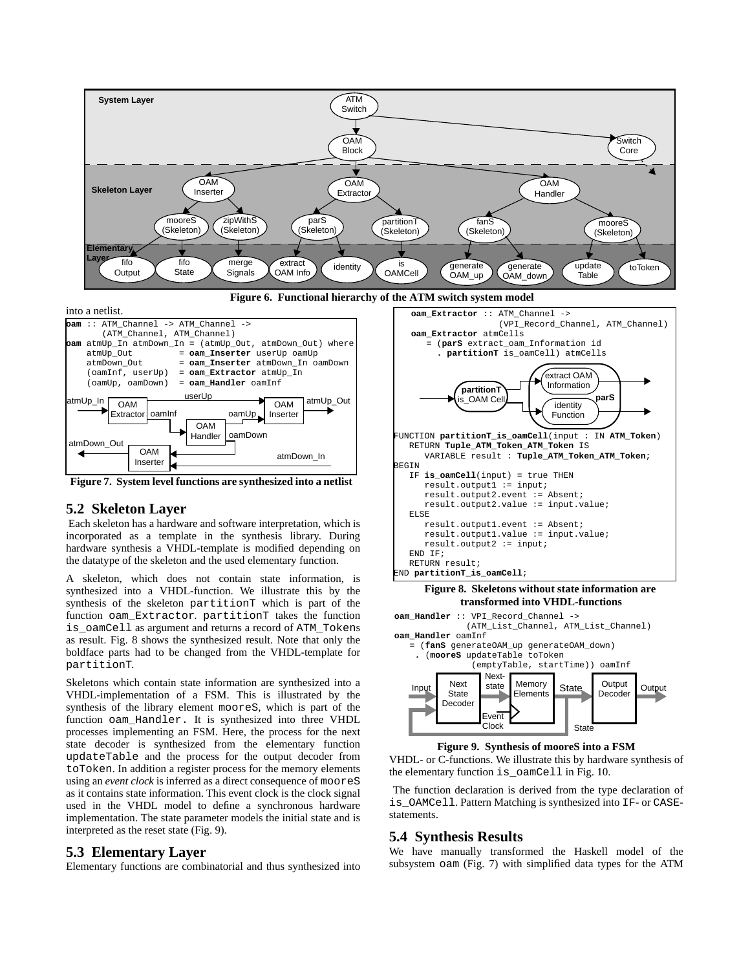



**Figure 7. System level functions are synthesized into a netlist**

#### **5.2 Skeleton Layer**

Each skeleton has a hardware and software interpretation, which is incorporated as a template in the synthesis library. During hardware synthesis a VHDL-template is modified depending on the datatype of the skeleton and the used elementary function.

A skeleton, which does not contain state information, is synthesized into a VHDL-function. We illustrate this by the synthesis of the skeleton partitionT which is part of the function oam\_Extractor. partitionT takes the function is\_oamCell as argument and returns a record of ATM\_Tokens as result. Fig. 8 shows the synthesized result. Note that only the boldface parts had to be changed from the VHDL-template for partitionT.

Skeletons which contain state information are synthesized into a VHDL-implementation of a FSM. This is illustrated by the synthesis of the library element mooreS, which is part of the function oam\_Handler. It is synthesized into three VHDL processes implementing an FSM. Here, the process for the next state decoder is synthesized from the elementary function updateTable and the process for the output decoder from toToken. In addition a register process for the memory elements using an *event clock* is inferred as a direct consequence of mooreS as it contains state information. This event clock is the clock signal used in the VHDL model to define a synchronous hardware implementation. The state parameter models the initial state and is interpreted as the reset state (Fig. 9).

# **5.3 Elementary Layer**

Elementary functions are combinatorial and thus synthesized into



**Figure 8. Skeletons without state information are transformed into VHDL-functions**



**Figure 9. Synthesis of mooreS into a FSM**

VHDL- or C-functions. We illustrate this by hardware synthesis of the elementary function is\_oamCell in Fig. 10.

The function declaration is derived from the type declaration of is\_OAMCell. Pattern Matching is synthesized into IF- or CASEstatements.

# **5.4 Synthesis Results**

We have manually transformed the Haskell model of the subsystem oam (Fig. 7) with simplified data types for the ATM